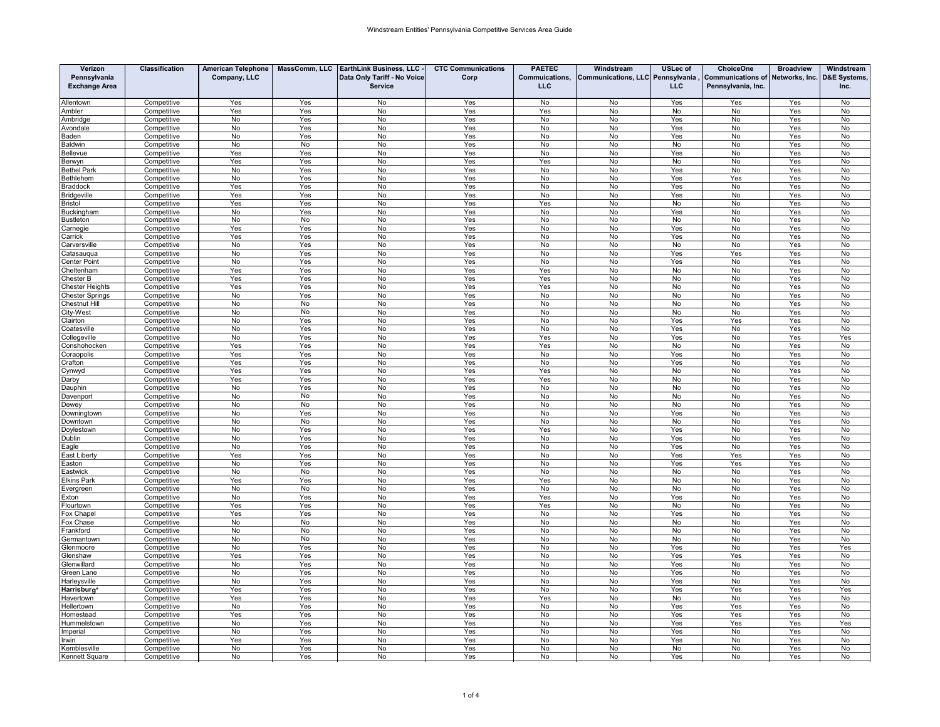| Verizon                   | Classification             | <b>American Telephone</b> | MassComm, LLC | <b>EarthLink Business, LLC</b> | <b>CTC Communications</b> | <b>PAETEC</b>  | Windstream                       | <b>USLec of</b> | <b>ChoiceOne</b>         | <b>Broadview</b> | Windstream             |
|---------------------------|----------------------------|---------------------------|---------------|--------------------------------|---------------------------|----------------|----------------------------------|-----------------|--------------------------|------------------|------------------------|
| Pennsylvania              |                            | Company, LLC              |               | Data Only Tariff - No Voice    | Corp                      | Commuications, | Communications, LLC Pennsylvania |                 | <b>Communications of</b> | Networks, Inc.   | <b>D&amp;E Systems</b> |
| <b>Exchange Area</b>      |                            |                           |               | <b>Service</b>                 |                           | LLC            |                                  | <b>LLC</b>      | Pennsylvania, Inc.       |                  | Inc.                   |
|                           |                            |                           |               |                                |                           |                |                                  |                 |                          |                  |                        |
| Allentown                 | Competitive                | Yes                       | Yes           | No                             | Yes                       | No             | No                               | Yes             | Yes                      | Yes              | No                     |
| Ambler                    | Competitive                | Yes                       | Yes           | No                             | Yes                       | Yes            | No                               | No              | No                       | Yes              | No                     |
| Ambridae                  | Competitive                | No                        | Yes           | No                             | Yes                       | No             | No                               | Yes             | No                       | Yes              | No                     |
| vondale                   | Competitive                | No                        | Yes           | No                             | Yes                       | No             | No                               | Yes             | No                       | Yes              | No                     |
| Baden                     | Competitive                | No                        | Yes<br>No     | No                             | Yes                       | No             | No                               | Yes<br>No       | No                       | Yes              | No                     |
| aldwin<br>ellevue         | Competitive<br>Competitive | No<br>Yes                 | Yes           | No<br>No                       | Yes<br>Yes                | No<br>No       | No<br>No                         | Yes             | No<br>No                 | Yes<br>Yes       | No<br>No               |
| Berwyn                    | Competitive                | Yes                       | Yes           | No                             | Yes                       | Yes            | No                               | No              | No                       | Yes              | No                     |
| <b>Bethel Park</b>        | Competitive                | No                        | Yes           | No                             | Yes                       | No             | No                               | Yes             | No                       | Yes              | No                     |
| Bethlehem                 | Competitive                | No                        | Yes           | No                             | Yes                       | No             | No                               | Yes             | Yes                      | Yes              | No                     |
| <b>Braddock</b>           | Competitive                | Yes                       | Yes           | No                             | Yes                       | No             | No                               | Yes             | No                       | Yes              | No                     |
| <b>Bridgeville</b>        | Competitive                | Yes                       | Yes           | No                             | Yes                       | No             | No                               | Yes             | No                       | Yes              | No                     |
| <b>Bristol</b>            | Competitive                | Yes                       | Yes           | <b>No</b>                      | Yes                       | Yes            | No                               | No              | No                       | Yes              | No                     |
| Buckingham                | Competitive                | No                        | Yes           | No                             | Yes                       | No             | No                               | Yes             | No                       | Yes              | No                     |
| <b>Bustleton</b>          | Competitive                | No                        | No            | No                             | Yes                       | No             | No                               | No              | No                       | Yes              | No                     |
| arnegie;                  | Competitive                | Yes                       | Yes           | No                             | Yes                       | No             | No                               | Yes             | No                       | Yes              | No                     |
| arrick:                   | Competitive                | Yes                       | Yes           | No                             | Yes                       | No             | No                               | Yes             | No                       | Yes              | No                     |
| arversville               | Competitive                | No                        | Yes           | No                             | Yes                       | No             | No                               | No              | No                       | Yes              | No                     |
| atasaugua                 | Competitive                | No<br>No                  | Yes<br>Yes    | No<br>No                       | Yes<br>Yes                | No<br>No       | No<br>No                         | Yes<br>Yes      | Yes<br>No                | Yes<br>Yes       | No<br>No               |
| enter Point<br>heltenham: | Competitive<br>Competitive | Yes                       | Yes           | No                             | Yes                       | Yes            | No                               | No              | No                       | Yes              | No                     |
| hester B                  | Competitive                | Yes                       | Yes           | No                             | Yes                       | Yes            | No                               | No              | No                       | Yes              | No                     |
| hester Heights            | Competitive                | Yes                       | Yes           | No                             | Yes                       | Yes            | No                               | No              | No                       | Yes              | No                     |
| hester Springs            | Competitive                | No                        | Yes           | No                             | Yes                       | No             | No                               | No              | <b>No</b>                | Yes              | <b>No</b>              |
| hestnut Hill              | Competitive                | No                        | No            | No                             | Yes                       | No             | No                               | No              | No                       | Yes              | No                     |
| City-West                 | Competitive                | No                        | No            | No                             | Yes                       | No             | No                               | No              | No                       | Yes              | No                     |
| lairton:                  | Competitive                | No                        | Yes           | No                             | Yes                       | No             | No                               | Yes             | Yes                      | Yes              | No                     |
| <b>catesville</b>         | Competitive                | No                        | Yes           | No                             | Yes                       | No             | No                               | Yes             | No                       | Yes              | No                     |
| <b>Collegeville</b>       | Competitive                | No                        | Yes           | No                             | Yes                       | Yes            | No                               | Yes             | No                       | Yes              | Yes                    |
| onshohocken:              | Competitive                | Yes                       | Yes           | No                             | Yes                       | Yes            | No                               | No              | No                       | Yes              | No                     |
| Coraopolis                | Competitive                | Yes                       | Yes           | No                             | Yes                       | No             | No                               | Yes             | No                       | Yes              | No                     |
| ;rafton                   | Competitive                | Yes                       | Yes           | No                             | Yes                       | No             | No                               | Yes             | No                       | Yes              | No                     |
| ynwyd<br>Darby            | Competitive<br>Competitive | Yes<br>Yes                | Yes<br>Yes    | No<br>No                       | Yes<br>Yes                | Yes<br>Yes     | No<br>No                         | No<br>No        | No<br>No                 | Yes<br>Yes       | No<br>No               |
| Dauphin                   | Competitive                | No                        | Yes           | No                             | Yes                       | No             | No                               | No              | No                       | Yes              | No                     |
| Davenport                 | Competitive                | No                        | No            | No                             | Yes                       | No             | No                               | No              | No                       | Yes              | No                     |
| )ewey                     | Competitive                | No                        | No            | No                             | Yes                       | No             | No                               | No              | No                       | Yes              | No                     |
| owningtown                | Competitive                | No                        | Yes           | No                             | Yes                       | No             | No                               | Yes             | No                       | Yes              | No                     |
| <b>lowntown</b>           | Competitive                | No                        | No            | No                             | Yes                       | No             | No                               | No              | No                       | Yes              | No                     |
| Doylestown                | Competitive                | No                        | Yes           | No                             | Yes                       | Yes            | No                               | Yes             | No                       | Yes              | No                     |
| Dublin                    | Competitive                | No                        | Yes           | No                             | Yes                       | No             | No                               | Yes             | No                       | Yes              | No                     |
| agle                      | Competitive                | No                        | Yes           | No                             | Yes                       | No             | No                               | Yes             | No                       | Yes              | No                     |
| ast Liberty               | Competitive                | Yes                       | Yes           | No                             | Yes                       | No             | No                               | Yes             | Yes                      | Yes              | No                     |
| aston                     | Competitive                | No                        | Yes           | <b>No</b>                      | Yes                       | No             | No                               | Yes             | Yes                      | Yes              | No                     |
| astwick                   | Competitive                | No                        | No            | No                             | Yes                       | No             | No                               | No              | No                       | Yes              | No                     |
| lkins Park<br>vergreen    | Competitive<br>Competitive | Yes<br>No                 | Yes<br>No     | No<br>No                       | Yes<br>Yes                | Yes<br>No      | No<br>No                         | No<br>No        | No<br>No                 | Yes<br>Yes       | No<br>No               |
| xton                      | Competitive                | No                        | Yes           | No                             | Yes                       | Yes            | No                               | Yes             | No                       | Yes              | No                     |
| lourtown                  | Competitive                | Yes                       | Yes           | No                             | Yes                       | Yes            | No                               | No              | No                       | Yes              | No                     |
| Fox Chape                 | Competitive                | Yes                       | Yes           | No                             | Yes                       | No             | No                               | Yes             | No                       | Yes              | No                     |
| Fox Chase                 | Competitive                | No                        | No            | No                             | Yes                       | No             | No                               | No              | No                       | Yes              | No                     |
| rankford                  | Competitive                | No                        | No            | No                             | Yes                       | No             | No                               | No              | No                       | Yes              | No                     |
| Germantown                | Competitive                | No                        | No            | No                             | Yes                       | No             | No                               | No              | No                       | Yes              | No                     |
| <b>Glenmoore</b>          | Competitive                | No                        | Yes           | No                             | Yes                       | No             | No                               | Yes             | No                       | Yes              | Yes                    |
| <b>Jenshaw</b>            | Competitive                | Yes                       | Yes           | No                             | Yes                       | No             | No                               | Yes             | Yes                      | Yes              | No                     |
| Glenwillard               | Competitive                | No                        | Yes           | No                             | Yes                       | No             | No                               | Yes             | No                       | Yes              | No                     |
| Green Lane                | Competitive                | No                        | Yes           | No                             | Yes                       | No             | No                               | Yes             | No                       | Yes              | No                     |
| Harleysville              | Competitive                | No                        | Yes           | No                             | Yes                       | No             | No                               | Yes             | No                       | Yes              | No                     |
| Harrisburg                | Competitive                | Yes<br>Yes                | Yes<br>Yes    | No<br>No                       | Yes<br>Yes                | No<br>Yes      | No<br>No                         | Yes<br>No       | Yes<br>No                | Yes<br>Yes       | Yes<br>No              |
| lavertown<br>Hellertown   | Competitive<br>Competitive | No                        | Yes           | No                             | Yes                       | No             | No                               | Yes             | Yes                      | Yes              | No                     |
| Homestead                 | Competitive                | Yes                       | Yes           | No                             | Yes                       | No             | No                               | Yes             | Yes                      | Yes              | No                     |
| lummelstown               | Competitive                | No                        | Yes           | No                             | Yes                       | No             | No                               | Yes             | Yes                      | Yes              | Yes                    |
| mperial                   | Competitive                | No                        | Yes           | No                             | Yes                       | No             | No                               | Yes             | No                       | Yes              | No                     |
| rwin                      | Competitive                | Yes                       | Yes           | No                             | Yes                       | No             | No                               | Yes             | <b>No</b>                | Yes              | No                     |
| Kemblesville              | Competitive                | No                        | Yes           | No                             | Yes                       | No             | No                               | No              | No                       | Yes              | No                     |
| <b>Kennett Square</b>     | Competitive                | No                        | Yes           | No                             | Yes                       | No             | No                               | Yes             | No                       | Yes              | No                     |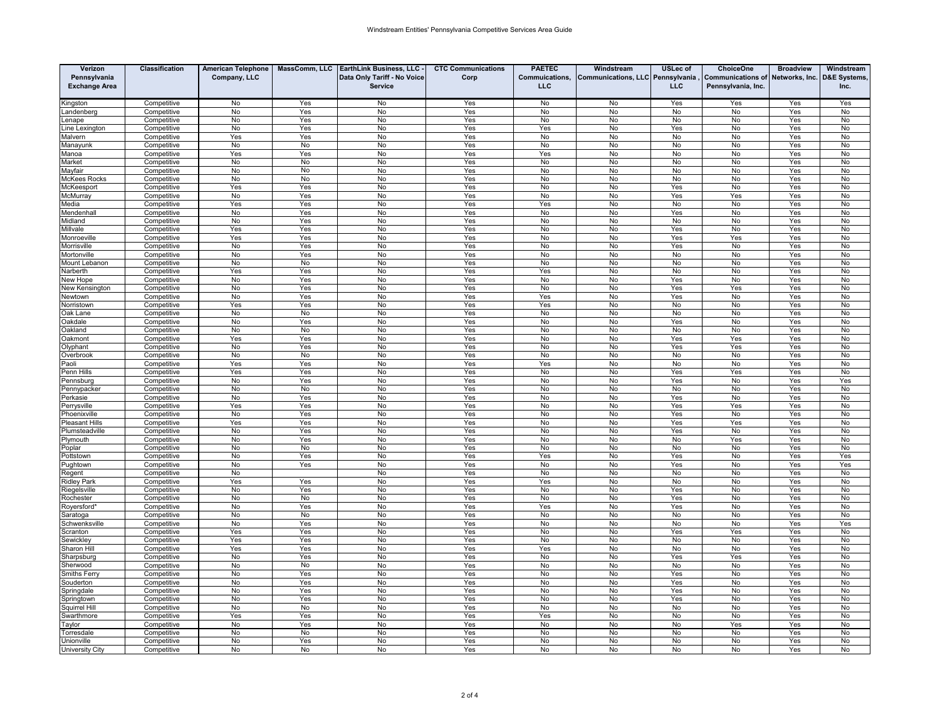| Pennsylvania<br>Company, LLC<br>Data Only Tariff - No Voice<br>Corp<br>Commuications,<br>Communications, LLC Pennsylvania<br><b>Communications of</b><br>Networks, Inc.<br><b>D&amp;E Systems</b><br><b>LLC</b><br><b>LLC</b><br><b>Exchange Area</b><br><b>Service</b><br>Pennsylvania, Inc.<br>Inc.<br>Competitive<br>No<br>Yes<br>No<br>Yes<br>No<br>No<br>Yes<br>Yes<br>Yes<br>Yes<br>ingston<br>No<br>No<br>Yes<br>No<br>No<br>No<br>Yes<br>No<br>andenberg<br>Competitive<br>Yes<br>No<br>No<br>No<br>No<br>No<br>No<br>Competitive<br>Yes<br>Yes<br>No<br>No<br>Yes<br>enape<br>Competitive<br>No<br>Yes<br>No<br>Yes<br>Yes<br>No<br>Yes<br>No<br>Yes<br>No<br>ine Lexington<br>Malvern<br>Competitive<br>Yes<br>Yes<br>No<br>Yes<br>No<br>No<br>No<br>No<br>Yes<br>No<br>No<br>No<br>No<br>Yes<br>No<br>No<br>No<br>No<br>Yes<br>No<br>Manayunk<br>Competitive<br>Yes<br>Yes<br>No<br>Yes<br>Yes<br>No<br>Yes<br>Competitive<br>No<br>No<br>No<br>Manoa<br>No<br>No<br><b>No</b><br>Yes<br><b>No</b><br>No<br>Yes<br>No<br>Market<br>Competitive<br>No<br>No<br>No<br>No<br>No<br>Yes<br>No<br>No<br>No<br>No<br>Yes<br>No<br>Mayfair<br>Competitive<br>No<br>No<br>No<br>Yes<br>No<br>No<br>Yes<br>No<br>McKees Rocks<br>Competitive<br>No<br>No<br>McKeesport<br>Competitive<br>Yes<br>Yes<br>No<br>Yes<br>No<br>No<br>Yes<br>No<br>Yes<br>No<br>McMurrav<br>Competitive<br>No<br>Yes<br>No<br>Yes<br>No<br>No<br>Yes<br>Yes<br>Yes<br>No<br>Yes<br>Yes<br>No<br>Yes<br>Yes<br>No<br>No<br>No<br>Yes<br>No<br>Competitive<br>ledia<br>No<br>Yes<br>No<br>Yes<br>No<br>No<br>Yes<br>No<br>Yes<br>No<br>Mendenhall<br>Competitive<br>Competitive<br>No<br>Yes<br><b>No</b><br>Yes<br>No<br>No<br><b>No</b><br><b>No</b><br>Yes<br>No<br>Midland<br>Competitive<br>Yes<br>Yes<br>No<br>Yes<br>No<br>No<br>Yes<br>No<br>Yes<br>No<br>Millvale<br>No<br>No<br>Competitive<br>Yes<br>Yes<br>Yes<br>No<br>Yes<br>Yes<br>Yes<br>No<br>Monroeville<br>Competitive<br>No<br>Yes<br>No<br>Yes<br>No<br>No<br>Yes<br>No<br>Yes<br>No<br>Competitive<br>No<br>Yes<br>No<br>No<br>No<br>No<br>Yes<br>No<br>Mortonville<br>Yes<br>No<br>Mount Lebanon<br>Competitive<br>No<br>No<br>No<br>Yes<br>No<br>No<br>No<br>No<br>Yes<br>No<br>Yes<br>Yes<br>Yes<br>No<br>Yes<br>Yes<br>No<br>No<br>No<br>No<br>Narberth<br>Competitive<br>New Hope<br>Competitive<br>No<br>Yes<br>No<br>Yes<br>No<br>No<br>Yes<br>No<br>Yes<br>No<br>No<br>No<br>No<br>New Kensington<br>Competitive<br>Yes<br>Yes<br>No<br>Yes<br>Yes<br>Yes<br>No<br>No<br>No<br>Yes<br>Yes<br>Yes<br>No<br>Yes<br>No<br>Yes<br>No<br>Newtown<br>Competitive<br>Yes<br>lorristowr<br>Competitive<br>Yes<br>No<br>Yes<br>Yes<br>No<br>No<br>No<br>Yes<br>No<br>No<br>No<br>No<br>No<br>ak Lane<br>Competitive<br>No<br>Yes<br>No<br>No<br>No<br>Yes<br>)akdale<br>Competitive<br>No<br>Yes<br>No<br>Yes<br>No<br>No<br>Yes<br>No<br>Yes<br>No<br>Competitive<br>No<br>No<br>No<br>Yes<br>No<br>No<br>No<br>No<br>Yes<br>No<br>Oakland<br>Yes<br>Yes<br>No<br>Yes<br>No<br>No<br>Yes<br>Yes<br>Yes<br>No<br>akmont<br>Competitive<br>No<br>Yes<br><b>No</b><br>No<br>No<br>Yes<br>No<br>Olyphant<br>Competitive<br>Yes<br>Yes<br>Yes<br>No<br>No<br>No<br>No<br>No<br>No<br>No<br>Yes<br>No<br><b>Overbrook</b><br>Competitive<br>Yes<br>Yes<br>Yes<br>No<br>Yes<br>Yes<br>No<br>No<br>No<br>Yes<br>No<br>'aoli<br>Competitive<br>Competitive<br>Yes<br>Yes<br>No<br>Yes<br>No<br>No<br>Yes<br>Yes<br>Yes<br>No<br>Penn Hills<br>Competitive<br>No<br>Yes<br>No<br>Yes<br>No<br>No<br>Yes<br>No<br>Yes<br>Yes<br>Pennsburg<br>No<br>No<br>No<br>Yes<br>No<br>No<br>No<br>No<br>Yes<br>No<br>Pennypacker<br>Competitive<br>No<br>No<br>Yes<br>No<br>Yes<br>Competitive<br>Yes<br>No<br>Yes<br>No<br>No<br><sup>9</sup> erkasie<br>Competitive<br>Yes<br>Yes<br>No<br>Yes<br>No<br>No<br>Yes<br>Yes<br>Yes<br>No<br>Perrysville<br>Competitive<br>No<br>Yes<br><b>No</b><br>Yes<br><b>No</b><br>No<br>Yes<br>No<br>Yes<br>No<br>Phoenixville<br>Yes<br>No<br>Yes<br>No<br>No<br>Yes<br>No<br><b>Pleasant Hills</b><br>Competitive<br>Yes<br>Yes<br>Yes<br><sup>9</sup> lumsteadville<br>Competitive<br>No<br>Yes<br>No<br>Yes<br>No<br>No<br>Yes<br>No<br>Yes<br>No<br>Competitive<br>No<br>Yes<br>No<br>Yes<br>No<br>No<br>No<br>Yes<br>Yes<br>No<br>'lymouth<br>No<br>No<br>No<br>No<br>No<br>Yes<br>Competitive<br>Yes<br>No<br>No<br>No<br>oplar<br>No<br>Yes<br>No<br>Yes<br>Yes<br>No<br>Yes<br>Yes<br>Yes<br>Competitive<br>No<br>ottstown<br>ughtown<br>Competitive<br>No<br>Yes<br>No<br>Yes<br>No<br>No<br>Yes<br>No<br>Yes<br>Yes<br>No<br>No<br>Competitive<br>No<br>Yes<br>No<br>No<br>No<br>Yes<br>No<br>Regent<br>Yes<br>No<br>Yes<br>No<br>No<br>No<br>Yes<br><b>Ridley Park</b><br>Competitive<br>Yes<br>Yes<br>No<br>No<br>Yes<br>No<br>Yes<br>Riegelsville<br>Competitive<br>Yes<br>No<br>No<br>No<br>Yes<br>No<br><b>No</b><br>No<br>No<br>No<br>Yes<br>No<br>Rochester<br>Competitive<br>No<br>Yes<br>No<br>Yes<br>No<br>Yes<br>No<br>Yes<br>Yes<br>No<br>Yes<br>No<br>Yes<br>No<br>Royersford'<br>Competitive<br>No<br>No<br>No<br>Yes<br>No<br>Yes<br>No<br>Competitive<br>No<br>No<br>No<br>Saratoga<br>Competitive<br>No<br>Yes<br>No<br>Yes<br>No<br>No<br>No<br>No<br>Yes<br>Yes<br>Schwenksville<br>Yes<br>No<br>Yes<br>No<br>No<br>No<br>cranton<br>Competitive<br>Yes<br>Yes<br>Yes<br>Yes<br>Yes<br>Yes<br>No<br>Yes<br>No<br>No<br>No<br>No<br>Yes<br>No<br>Sewickley<br>Competitive<br>Yes<br>Yes<br>No<br>Yes<br>Yes<br>No<br>No<br>No<br>Yes<br>No<br>Sharon Hil<br>Competitive<br>Competitive<br>No<br>Yes<br>No<br>Yes<br>No<br>No<br>Yes<br>Yes<br>Yes<br>No<br>Sharpsburg<br>Competitive<br>No<br>No<br>No<br>Yes<br>No<br>No<br><b>No</b><br>No<br>Yes<br>No<br>Sherwood<br>No<br>Yes<br>No<br>Yes<br>No<br>No<br>Yes<br>No<br>Yes<br>No<br>Smiths Ferry<br>Competitive<br>Souderton<br>Competitive<br>No<br>Yes<br>No<br>Yes<br>No<br>No<br>Yes<br>No<br>Yes<br>No<br><b>No</b><br>No<br>Springdale<br>Competitive<br>No<br>Yes<br>Yes<br>No<br>Yes<br>No<br>Yes<br>No<br>Competitive<br>No<br>Yes<br>No<br>Yes<br>No<br>No<br>Yes<br>No<br>Yes<br>No<br>Springtown<br>No<br>No<br>No<br>Yes<br>No<br>No<br>No<br>No<br>Yes<br>No<br>Competitive<br>Squirrel Hill<br>Swarthmore<br>Competitive<br>Yes<br>Yes<br>No<br>Yes<br>Yes<br>No<br>No<br>No<br>Yes<br>No<br>Taylor<br>Competitive<br>No<br>Yes<br>No<br>Yes<br>No<br>No<br>No<br>Yes<br>Yes<br>No<br>Torresdale<br>No<br>No<br>No<br>Yes<br>No<br>No<br>No<br>No<br>Yes<br>No<br>Competitive<br>Unionville<br>No<br>Yes<br>No<br>Yes<br>No<br>No<br>No<br>Yes<br>No<br>Competitive<br>No | Verizon                | Classification | <b>American Telephone</b> |    | MassComm, LLC   EarthLink Business, LLC - | <b>CTC Communications</b> | <b>PAETEC</b> | Windstream | <b>USLec of</b> | <b>ChoiceOne</b> | <b>Broadview</b> | Windstream |
|--------------------------------------------------------------------------------------------------------------------------------------------------------------------------------------------------------------------------------------------------------------------------------------------------------------------------------------------------------------------------------------------------------------------------------------------------------------------------------------------------------------------------------------------------------------------------------------------------------------------------------------------------------------------------------------------------------------------------------------------------------------------------------------------------------------------------------------------------------------------------------------------------------------------------------------------------------------------------------------------------------------------------------------------------------------------------------------------------------------------------------------------------------------------------------------------------------------------------------------------------------------------------------------------------------------------------------------------------------------------------------------------------------------------------------------------------------------------------------------------------------------------------------------------------------------------------------------------------------------------------------------------------------------------------------------------------------------------------------------------------------------------------------------------------------------------------------------------------------------------------------------------------------------------------------------------------------------------------------------------------------------------------------------------------------------------------------------------------------------------------------------------------------------------------------------------------------------------------------------------------------------------------------------------------------------------------------------------------------------------------------------------------------------------------------------------------------------------------------------------------------------------------------------------------------------------------------------------------------------------------------------------------------------------------------------------------------------------------------------------------------------------------------------------------------------------------------------------------------------------------------------------------------------------------------------------------------------------------------------------------------------------------------------------------------------------------------------------------------------------------------------------------------------------------------------------------------------------------------------------------------------------------------------------------------------------------------------------------------------------------------------------------------------------------------------------------------------------------------------------------------------------------------------------------------------------------------------------------------------------------------------------------------------------------------------------------------------------------------------------------------------------------------------------------------------------------------------------------------------------------------------------------------------------------------------------------------------------------------------------------------------------------------------------------------------------------------------------------------------------------------------------------------------------------------------------------------------------------------------------------------------------------------------------------------------------------------------------------------------------------------------------------------------------------------------------------------------------------------------------------------------------------------------------------------------------------------------------------------------------------------------------------------------------------------------------------------------------------------------------------------------------------------------------------------------------------------------------------------------------------------------------------------------------------------------------------------------------------------------------------------------------------------------------------------------------------------------------------------------------------------------------------------------------------------------------------------------------------------------------------------------------------------------------------------------------------------------------------------------------------------------------------------------------------------------------------------------------------------------------------------------------------------------------------------------------------------------------------------------------------------------------------------------------------------------------------------------------------------------------------------------------------------------------------------------------------------------------------------------------------------------------------------------------------------------------------------------------------------------------------------------------------------------------------------------------------------------------------------------------------------------------------------------------------------------------------------------------------------------------------------------------------------------------------------------------------------------------------------------------------------------------------------------------------------------------------------------------------------------------------------------------------------------------------------------------------------------------------------------------------------------------|------------------------|----------------|---------------------------|----|-------------------------------------------|---------------------------|---------------|------------|-----------------|------------------|------------------|------------|
|                                                                                                                                                                                                                                                                                                                                                                                                                                                                                                                                                                                                                                                                                                                                                                                                                                                                                                                                                                                                                                                                                                                                                                                                                                                                                                                                                                                                                                                                                                                                                                                                                                                                                                                                                                                                                                                                                                                                                                                                                                                                                                                                                                                                                                                                                                                                                                                                                                                                                                                                                                                                                                                                                                                                                                                                                                                                                                                                                                                                                                                                                                                                                                                                                                                                                                                                                                                                                                                                                                                                                                                                                                                                                                                                                                                                                                                                                                                                                                                                                                                                                                                                                                                                                                                                                                                                                                                                                                                                                                                                                                                                                                                                                                                                                                                                                                                                                                                                                                                                                                                                                                                                                                                                                                                                                                                                                                                                                                                                                                                                                                                                                                                                                                                                                                                                                                                                                                                                                                                                                                                                                                                                                                                                                                                                                                                                                                                                                                                                                                                                                                                                                                            |                        |                |                           |    |                                           |                           |               |            |                 |                  |                  |            |
|                                                                                                                                                                                                                                                                                                                                                                                                                                                                                                                                                                                                                                                                                                                                                                                                                                                                                                                                                                                                                                                                                                                                                                                                                                                                                                                                                                                                                                                                                                                                                                                                                                                                                                                                                                                                                                                                                                                                                                                                                                                                                                                                                                                                                                                                                                                                                                                                                                                                                                                                                                                                                                                                                                                                                                                                                                                                                                                                                                                                                                                                                                                                                                                                                                                                                                                                                                                                                                                                                                                                                                                                                                                                                                                                                                                                                                                                                                                                                                                                                                                                                                                                                                                                                                                                                                                                                                                                                                                                                                                                                                                                                                                                                                                                                                                                                                                                                                                                                                                                                                                                                                                                                                                                                                                                                                                                                                                                                                                                                                                                                                                                                                                                                                                                                                                                                                                                                                                                                                                                                                                                                                                                                                                                                                                                                                                                                                                                                                                                                                                                                                                                                                            |                        |                |                           |    |                                           |                           |               |            |                 |                  |                  |            |
|                                                                                                                                                                                                                                                                                                                                                                                                                                                                                                                                                                                                                                                                                                                                                                                                                                                                                                                                                                                                                                                                                                                                                                                                                                                                                                                                                                                                                                                                                                                                                                                                                                                                                                                                                                                                                                                                                                                                                                                                                                                                                                                                                                                                                                                                                                                                                                                                                                                                                                                                                                                                                                                                                                                                                                                                                                                                                                                                                                                                                                                                                                                                                                                                                                                                                                                                                                                                                                                                                                                                                                                                                                                                                                                                                                                                                                                                                                                                                                                                                                                                                                                                                                                                                                                                                                                                                                                                                                                                                                                                                                                                                                                                                                                                                                                                                                                                                                                                                                                                                                                                                                                                                                                                                                                                                                                                                                                                                                                                                                                                                                                                                                                                                                                                                                                                                                                                                                                                                                                                                                                                                                                                                                                                                                                                                                                                                                                                                                                                                                                                                                                                                                            |                        |                |                           |    |                                           |                           |               |            |                 |                  |                  |            |
|                                                                                                                                                                                                                                                                                                                                                                                                                                                                                                                                                                                                                                                                                                                                                                                                                                                                                                                                                                                                                                                                                                                                                                                                                                                                                                                                                                                                                                                                                                                                                                                                                                                                                                                                                                                                                                                                                                                                                                                                                                                                                                                                                                                                                                                                                                                                                                                                                                                                                                                                                                                                                                                                                                                                                                                                                                                                                                                                                                                                                                                                                                                                                                                                                                                                                                                                                                                                                                                                                                                                                                                                                                                                                                                                                                                                                                                                                                                                                                                                                                                                                                                                                                                                                                                                                                                                                                                                                                                                                                                                                                                                                                                                                                                                                                                                                                                                                                                                                                                                                                                                                                                                                                                                                                                                                                                                                                                                                                                                                                                                                                                                                                                                                                                                                                                                                                                                                                                                                                                                                                                                                                                                                                                                                                                                                                                                                                                                                                                                                                                                                                                                                                            |                        |                |                           |    |                                           |                           |               |            |                 |                  |                  |            |
|                                                                                                                                                                                                                                                                                                                                                                                                                                                                                                                                                                                                                                                                                                                                                                                                                                                                                                                                                                                                                                                                                                                                                                                                                                                                                                                                                                                                                                                                                                                                                                                                                                                                                                                                                                                                                                                                                                                                                                                                                                                                                                                                                                                                                                                                                                                                                                                                                                                                                                                                                                                                                                                                                                                                                                                                                                                                                                                                                                                                                                                                                                                                                                                                                                                                                                                                                                                                                                                                                                                                                                                                                                                                                                                                                                                                                                                                                                                                                                                                                                                                                                                                                                                                                                                                                                                                                                                                                                                                                                                                                                                                                                                                                                                                                                                                                                                                                                                                                                                                                                                                                                                                                                                                                                                                                                                                                                                                                                                                                                                                                                                                                                                                                                                                                                                                                                                                                                                                                                                                                                                                                                                                                                                                                                                                                                                                                                                                                                                                                                                                                                                                                                            |                        |                |                           |    |                                           |                           |               |            |                 |                  |                  |            |
|                                                                                                                                                                                                                                                                                                                                                                                                                                                                                                                                                                                                                                                                                                                                                                                                                                                                                                                                                                                                                                                                                                                                                                                                                                                                                                                                                                                                                                                                                                                                                                                                                                                                                                                                                                                                                                                                                                                                                                                                                                                                                                                                                                                                                                                                                                                                                                                                                                                                                                                                                                                                                                                                                                                                                                                                                                                                                                                                                                                                                                                                                                                                                                                                                                                                                                                                                                                                                                                                                                                                                                                                                                                                                                                                                                                                                                                                                                                                                                                                                                                                                                                                                                                                                                                                                                                                                                                                                                                                                                                                                                                                                                                                                                                                                                                                                                                                                                                                                                                                                                                                                                                                                                                                                                                                                                                                                                                                                                                                                                                                                                                                                                                                                                                                                                                                                                                                                                                                                                                                                                                                                                                                                                                                                                                                                                                                                                                                                                                                                                                                                                                                                                            |                        |                |                           |    |                                           |                           |               |            |                 |                  |                  |            |
|                                                                                                                                                                                                                                                                                                                                                                                                                                                                                                                                                                                                                                                                                                                                                                                                                                                                                                                                                                                                                                                                                                                                                                                                                                                                                                                                                                                                                                                                                                                                                                                                                                                                                                                                                                                                                                                                                                                                                                                                                                                                                                                                                                                                                                                                                                                                                                                                                                                                                                                                                                                                                                                                                                                                                                                                                                                                                                                                                                                                                                                                                                                                                                                                                                                                                                                                                                                                                                                                                                                                                                                                                                                                                                                                                                                                                                                                                                                                                                                                                                                                                                                                                                                                                                                                                                                                                                                                                                                                                                                                                                                                                                                                                                                                                                                                                                                                                                                                                                                                                                                                                                                                                                                                                                                                                                                                                                                                                                                                                                                                                                                                                                                                                                                                                                                                                                                                                                                                                                                                                                                                                                                                                                                                                                                                                                                                                                                                                                                                                                                                                                                                                                            |                        |                |                           |    |                                           |                           |               |            |                 |                  |                  |            |
|                                                                                                                                                                                                                                                                                                                                                                                                                                                                                                                                                                                                                                                                                                                                                                                                                                                                                                                                                                                                                                                                                                                                                                                                                                                                                                                                                                                                                                                                                                                                                                                                                                                                                                                                                                                                                                                                                                                                                                                                                                                                                                                                                                                                                                                                                                                                                                                                                                                                                                                                                                                                                                                                                                                                                                                                                                                                                                                                                                                                                                                                                                                                                                                                                                                                                                                                                                                                                                                                                                                                                                                                                                                                                                                                                                                                                                                                                                                                                                                                                                                                                                                                                                                                                                                                                                                                                                                                                                                                                                                                                                                                                                                                                                                                                                                                                                                                                                                                                                                                                                                                                                                                                                                                                                                                                                                                                                                                                                                                                                                                                                                                                                                                                                                                                                                                                                                                                                                                                                                                                                                                                                                                                                                                                                                                                                                                                                                                                                                                                                                                                                                                                                            |                        |                |                           |    |                                           |                           |               |            |                 |                  |                  |            |
|                                                                                                                                                                                                                                                                                                                                                                                                                                                                                                                                                                                                                                                                                                                                                                                                                                                                                                                                                                                                                                                                                                                                                                                                                                                                                                                                                                                                                                                                                                                                                                                                                                                                                                                                                                                                                                                                                                                                                                                                                                                                                                                                                                                                                                                                                                                                                                                                                                                                                                                                                                                                                                                                                                                                                                                                                                                                                                                                                                                                                                                                                                                                                                                                                                                                                                                                                                                                                                                                                                                                                                                                                                                                                                                                                                                                                                                                                                                                                                                                                                                                                                                                                                                                                                                                                                                                                                                                                                                                                                                                                                                                                                                                                                                                                                                                                                                                                                                                                                                                                                                                                                                                                                                                                                                                                                                                                                                                                                                                                                                                                                                                                                                                                                                                                                                                                                                                                                                                                                                                                                                                                                                                                                                                                                                                                                                                                                                                                                                                                                                                                                                                                                            |                        |                |                           |    |                                           |                           |               |            |                 |                  |                  |            |
|                                                                                                                                                                                                                                                                                                                                                                                                                                                                                                                                                                                                                                                                                                                                                                                                                                                                                                                                                                                                                                                                                                                                                                                                                                                                                                                                                                                                                                                                                                                                                                                                                                                                                                                                                                                                                                                                                                                                                                                                                                                                                                                                                                                                                                                                                                                                                                                                                                                                                                                                                                                                                                                                                                                                                                                                                                                                                                                                                                                                                                                                                                                                                                                                                                                                                                                                                                                                                                                                                                                                                                                                                                                                                                                                                                                                                                                                                                                                                                                                                                                                                                                                                                                                                                                                                                                                                                                                                                                                                                                                                                                                                                                                                                                                                                                                                                                                                                                                                                                                                                                                                                                                                                                                                                                                                                                                                                                                                                                                                                                                                                                                                                                                                                                                                                                                                                                                                                                                                                                                                                                                                                                                                                                                                                                                                                                                                                                                                                                                                                                                                                                                                                            |                        |                |                           |    |                                           |                           |               |            |                 |                  |                  |            |
|                                                                                                                                                                                                                                                                                                                                                                                                                                                                                                                                                                                                                                                                                                                                                                                                                                                                                                                                                                                                                                                                                                                                                                                                                                                                                                                                                                                                                                                                                                                                                                                                                                                                                                                                                                                                                                                                                                                                                                                                                                                                                                                                                                                                                                                                                                                                                                                                                                                                                                                                                                                                                                                                                                                                                                                                                                                                                                                                                                                                                                                                                                                                                                                                                                                                                                                                                                                                                                                                                                                                                                                                                                                                                                                                                                                                                                                                                                                                                                                                                                                                                                                                                                                                                                                                                                                                                                                                                                                                                                                                                                                                                                                                                                                                                                                                                                                                                                                                                                                                                                                                                                                                                                                                                                                                                                                                                                                                                                                                                                                                                                                                                                                                                                                                                                                                                                                                                                                                                                                                                                                                                                                                                                                                                                                                                                                                                                                                                                                                                                                                                                                                                                            |                        |                |                           |    |                                           |                           |               |            |                 |                  |                  |            |
|                                                                                                                                                                                                                                                                                                                                                                                                                                                                                                                                                                                                                                                                                                                                                                                                                                                                                                                                                                                                                                                                                                                                                                                                                                                                                                                                                                                                                                                                                                                                                                                                                                                                                                                                                                                                                                                                                                                                                                                                                                                                                                                                                                                                                                                                                                                                                                                                                                                                                                                                                                                                                                                                                                                                                                                                                                                                                                                                                                                                                                                                                                                                                                                                                                                                                                                                                                                                                                                                                                                                                                                                                                                                                                                                                                                                                                                                                                                                                                                                                                                                                                                                                                                                                                                                                                                                                                                                                                                                                                                                                                                                                                                                                                                                                                                                                                                                                                                                                                                                                                                                                                                                                                                                                                                                                                                                                                                                                                                                                                                                                                                                                                                                                                                                                                                                                                                                                                                                                                                                                                                                                                                                                                                                                                                                                                                                                                                                                                                                                                                                                                                                                                            |                        |                |                           |    |                                           |                           |               |            |                 |                  |                  |            |
|                                                                                                                                                                                                                                                                                                                                                                                                                                                                                                                                                                                                                                                                                                                                                                                                                                                                                                                                                                                                                                                                                                                                                                                                                                                                                                                                                                                                                                                                                                                                                                                                                                                                                                                                                                                                                                                                                                                                                                                                                                                                                                                                                                                                                                                                                                                                                                                                                                                                                                                                                                                                                                                                                                                                                                                                                                                                                                                                                                                                                                                                                                                                                                                                                                                                                                                                                                                                                                                                                                                                                                                                                                                                                                                                                                                                                                                                                                                                                                                                                                                                                                                                                                                                                                                                                                                                                                                                                                                                                                                                                                                                                                                                                                                                                                                                                                                                                                                                                                                                                                                                                                                                                                                                                                                                                                                                                                                                                                                                                                                                                                                                                                                                                                                                                                                                                                                                                                                                                                                                                                                                                                                                                                                                                                                                                                                                                                                                                                                                                                                                                                                                                                            |                        |                |                           |    |                                           |                           |               |            |                 |                  |                  |            |
|                                                                                                                                                                                                                                                                                                                                                                                                                                                                                                                                                                                                                                                                                                                                                                                                                                                                                                                                                                                                                                                                                                                                                                                                                                                                                                                                                                                                                                                                                                                                                                                                                                                                                                                                                                                                                                                                                                                                                                                                                                                                                                                                                                                                                                                                                                                                                                                                                                                                                                                                                                                                                                                                                                                                                                                                                                                                                                                                                                                                                                                                                                                                                                                                                                                                                                                                                                                                                                                                                                                                                                                                                                                                                                                                                                                                                                                                                                                                                                                                                                                                                                                                                                                                                                                                                                                                                                                                                                                                                                                                                                                                                                                                                                                                                                                                                                                                                                                                                                                                                                                                                                                                                                                                                                                                                                                                                                                                                                                                                                                                                                                                                                                                                                                                                                                                                                                                                                                                                                                                                                                                                                                                                                                                                                                                                                                                                                                                                                                                                                                                                                                                                                            |                        |                |                           |    |                                           |                           |               |            |                 |                  |                  |            |
|                                                                                                                                                                                                                                                                                                                                                                                                                                                                                                                                                                                                                                                                                                                                                                                                                                                                                                                                                                                                                                                                                                                                                                                                                                                                                                                                                                                                                                                                                                                                                                                                                                                                                                                                                                                                                                                                                                                                                                                                                                                                                                                                                                                                                                                                                                                                                                                                                                                                                                                                                                                                                                                                                                                                                                                                                                                                                                                                                                                                                                                                                                                                                                                                                                                                                                                                                                                                                                                                                                                                                                                                                                                                                                                                                                                                                                                                                                                                                                                                                                                                                                                                                                                                                                                                                                                                                                                                                                                                                                                                                                                                                                                                                                                                                                                                                                                                                                                                                                                                                                                                                                                                                                                                                                                                                                                                                                                                                                                                                                                                                                                                                                                                                                                                                                                                                                                                                                                                                                                                                                                                                                                                                                                                                                                                                                                                                                                                                                                                                                                                                                                                                                            |                        |                |                           |    |                                           |                           |               |            |                 |                  |                  |            |
|                                                                                                                                                                                                                                                                                                                                                                                                                                                                                                                                                                                                                                                                                                                                                                                                                                                                                                                                                                                                                                                                                                                                                                                                                                                                                                                                                                                                                                                                                                                                                                                                                                                                                                                                                                                                                                                                                                                                                                                                                                                                                                                                                                                                                                                                                                                                                                                                                                                                                                                                                                                                                                                                                                                                                                                                                                                                                                                                                                                                                                                                                                                                                                                                                                                                                                                                                                                                                                                                                                                                                                                                                                                                                                                                                                                                                                                                                                                                                                                                                                                                                                                                                                                                                                                                                                                                                                                                                                                                                                                                                                                                                                                                                                                                                                                                                                                                                                                                                                                                                                                                                                                                                                                                                                                                                                                                                                                                                                                                                                                                                                                                                                                                                                                                                                                                                                                                                                                                                                                                                                                                                                                                                                                                                                                                                                                                                                                                                                                                                                                                                                                                                                            |                        |                |                           |    |                                           |                           |               |            |                 |                  |                  |            |
|                                                                                                                                                                                                                                                                                                                                                                                                                                                                                                                                                                                                                                                                                                                                                                                                                                                                                                                                                                                                                                                                                                                                                                                                                                                                                                                                                                                                                                                                                                                                                                                                                                                                                                                                                                                                                                                                                                                                                                                                                                                                                                                                                                                                                                                                                                                                                                                                                                                                                                                                                                                                                                                                                                                                                                                                                                                                                                                                                                                                                                                                                                                                                                                                                                                                                                                                                                                                                                                                                                                                                                                                                                                                                                                                                                                                                                                                                                                                                                                                                                                                                                                                                                                                                                                                                                                                                                                                                                                                                                                                                                                                                                                                                                                                                                                                                                                                                                                                                                                                                                                                                                                                                                                                                                                                                                                                                                                                                                                                                                                                                                                                                                                                                                                                                                                                                                                                                                                                                                                                                                                                                                                                                                                                                                                                                                                                                                                                                                                                                                                                                                                                                                            |                        |                |                           |    |                                           |                           |               |            |                 |                  |                  |            |
|                                                                                                                                                                                                                                                                                                                                                                                                                                                                                                                                                                                                                                                                                                                                                                                                                                                                                                                                                                                                                                                                                                                                                                                                                                                                                                                                                                                                                                                                                                                                                                                                                                                                                                                                                                                                                                                                                                                                                                                                                                                                                                                                                                                                                                                                                                                                                                                                                                                                                                                                                                                                                                                                                                                                                                                                                                                                                                                                                                                                                                                                                                                                                                                                                                                                                                                                                                                                                                                                                                                                                                                                                                                                                                                                                                                                                                                                                                                                                                                                                                                                                                                                                                                                                                                                                                                                                                                                                                                                                                                                                                                                                                                                                                                                                                                                                                                                                                                                                                                                                                                                                                                                                                                                                                                                                                                                                                                                                                                                                                                                                                                                                                                                                                                                                                                                                                                                                                                                                                                                                                                                                                                                                                                                                                                                                                                                                                                                                                                                                                                                                                                                                                            |                        |                |                           |    |                                           |                           |               |            |                 |                  |                  |            |
|                                                                                                                                                                                                                                                                                                                                                                                                                                                                                                                                                                                                                                                                                                                                                                                                                                                                                                                                                                                                                                                                                                                                                                                                                                                                                                                                                                                                                                                                                                                                                                                                                                                                                                                                                                                                                                                                                                                                                                                                                                                                                                                                                                                                                                                                                                                                                                                                                                                                                                                                                                                                                                                                                                                                                                                                                                                                                                                                                                                                                                                                                                                                                                                                                                                                                                                                                                                                                                                                                                                                                                                                                                                                                                                                                                                                                                                                                                                                                                                                                                                                                                                                                                                                                                                                                                                                                                                                                                                                                                                                                                                                                                                                                                                                                                                                                                                                                                                                                                                                                                                                                                                                                                                                                                                                                                                                                                                                                                                                                                                                                                                                                                                                                                                                                                                                                                                                                                                                                                                                                                                                                                                                                                                                                                                                                                                                                                                                                                                                                                                                                                                                                                            |                        |                |                           |    |                                           |                           |               |            |                 |                  |                  |            |
|                                                                                                                                                                                                                                                                                                                                                                                                                                                                                                                                                                                                                                                                                                                                                                                                                                                                                                                                                                                                                                                                                                                                                                                                                                                                                                                                                                                                                                                                                                                                                                                                                                                                                                                                                                                                                                                                                                                                                                                                                                                                                                                                                                                                                                                                                                                                                                                                                                                                                                                                                                                                                                                                                                                                                                                                                                                                                                                                                                                                                                                                                                                                                                                                                                                                                                                                                                                                                                                                                                                                                                                                                                                                                                                                                                                                                                                                                                                                                                                                                                                                                                                                                                                                                                                                                                                                                                                                                                                                                                                                                                                                                                                                                                                                                                                                                                                                                                                                                                                                                                                                                                                                                                                                                                                                                                                                                                                                                                                                                                                                                                                                                                                                                                                                                                                                                                                                                                                                                                                                                                                                                                                                                                                                                                                                                                                                                                                                                                                                                                                                                                                                                                            | Morrisville            |                |                           |    |                                           |                           |               |            |                 |                  |                  |            |
|                                                                                                                                                                                                                                                                                                                                                                                                                                                                                                                                                                                                                                                                                                                                                                                                                                                                                                                                                                                                                                                                                                                                                                                                                                                                                                                                                                                                                                                                                                                                                                                                                                                                                                                                                                                                                                                                                                                                                                                                                                                                                                                                                                                                                                                                                                                                                                                                                                                                                                                                                                                                                                                                                                                                                                                                                                                                                                                                                                                                                                                                                                                                                                                                                                                                                                                                                                                                                                                                                                                                                                                                                                                                                                                                                                                                                                                                                                                                                                                                                                                                                                                                                                                                                                                                                                                                                                                                                                                                                                                                                                                                                                                                                                                                                                                                                                                                                                                                                                                                                                                                                                                                                                                                                                                                                                                                                                                                                                                                                                                                                                                                                                                                                                                                                                                                                                                                                                                                                                                                                                                                                                                                                                                                                                                                                                                                                                                                                                                                                                                                                                                                                                            |                        |                |                           |    |                                           |                           |               |            |                 |                  |                  |            |
|                                                                                                                                                                                                                                                                                                                                                                                                                                                                                                                                                                                                                                                                                                                                                                                                                                                                                                                                                                                                                                                                                                                                                                                                                                                                                                                                                                                                                                                                                                                                                                                                                                                                                                                                                                                                                                                                                                                                                                                                                                                                                                                                                                                                                                                                                                                                                                                                                                                                                                                                                                                                                                                                                                                                                                                                                                                                                                                                                                                                                                                                                                                                                                                                                                                                                                                                                                                                                                                                                                                                                                                                                                                                                                                                                                                                                                                                                                                                                                                                                                                                                                                                                                                                                                                                                                                                                                                                                                                                                                                                                                                                                                                                                                                                                                                                                                                                                                                                                                                                                                                                                                                                                                                                                                                                                                                                                                                                                                                                                                                                                                                                                                                                                                                                                                                                                                                                                                                                                                                                                                                                                                                                                                                                                                                                                                                                                                                                                                                                                                                                                                                                                                            |                        |                |                           |    |                                           |                           |               |            |                 |                  |                  |            |
|                                                                                                                                                                                                                                                                                                                                                                                                                                                                                                                                                                                                                                                                                                                                                                                                                                                                                                                                                                                                                                                                                                                                                                                                                                                                                                                                                                                                                                                                                                                                                                                                                                                                                                                                                                                                                                                                                                                                                                                                                                                                                                                                                                                                                                                                                                                                                                                                                                                                                                                                                                                                                                                                                                                                                                                                                                                                                                                                                                                                                                                                                                                                                                                                                                                                                                                                                                                                                                                                                                                                                                                                                                                                                                                                                                                                                                                                                                                                                                                                                                                                                                                                                                                                                                                                                                                                                                                                                                                                                                                                                                                                                                                                                                                                                                                                                                                                                                                                                                                                                                                                                                                                                                                                                                                                                                                                                                                                                                                                                                                                                                                                                                                                                                                                                                                                                                                                                                                                                                                                                                                                                                                                                                                                                                                                                                                                                                                                                                                                                                                                                                                                                                            |                        |                |                           |    |                                           |                           |               |            |                 |                  |                  |            |
|                                                                                                                                                                                                                                                                                                                                                                                                                                                                                                                                                                                                                                                                                                                                                                                                                                                                                                                                                                                                                                                                                                                                                                                                                                                                                                                                                                                                                                                                                                                                                                                                                                                                                                                                                                                                                                                                                                                                                                                                                                                                                                                                                                                                                                                                                                                                                                                                                                                                                                                                                                                                                                                                                                                                                                                                                                                                                                                                                                                                                                                                                                                                                                                                                                                                                                                                                                                                                                                                                                                                                                                                                                                                                                                                                                                                                                                                                                                                                                                                                                                                                                                                                                                                                                                                                                                                                                                                                                                                                                                                                                                                                                                                                                                                                                                                                                                                                                                                                                                                                                                                                                                                                                                                                                                                                                                                                                                                                                                                                                                                                                                                                                                                                                                                                                                                                                                                                                                                                                                                                                                                                                                                                                                                                                                                                                                                                                                                                                                                                                                                                                                                                                            |                        |                |                           |    |                                           |                           |               |            |                 |                  |                  |            |
|                                                                                                                                                                                                                                                                                                                                                                                                                                                                                                                                                                                                                                                                                                                                                                                                                                                                                                                                                                                                                                                                                                                                                                                                                                                                                                                                                                                                                                                                                                                                                                                                                                                                                                                                                                                                                                                                                                                                                                                                                                                                                                                                                                                                                                                                                                                                                                                                                                                                                                                                                                                                                                                                                                                                                                                                                                                                                                                                                                                                                                                                                                                                                                                                                                                                                                                                                                                                                                                                                                                                                                                                                                                                                                                                                                                                                                                                                                                                                                                                                                                                                                                                                                                                                                                                                                                                                                                                                                                                                                                                                                                                                                                                                                                                                                                                                                                                                                                                                                                                                                                                                                                                                                                                                                                                                                                                                                                                                                                                                                                                                                                                                                                                                                                                                                                                                                                                                                                                                                                                                                                                                                                                                                                                                                                                                                                                                                                                                                                                                                                                                                                                                                            |                        |                |                           |    |                                           |                           |               |            |                 |                  |                  |            |
|                                                                                                                                                                                                                                                                                                                                                                                                                                                                                                                                                                                                                                                                                                                                                                                                                                                                                                                                                                                                                                                                                                                                                                                                                                                                                                                                                                                                                                                                                                                                                                                                                                                                                                                                                                                                                                                                                                                                                                                                                                                                                                                                                                                                                                                                                                                                                                                                                                                                                                                                                                                                                                                                                                                                                                                                                                                                                                                                                                                                                                                                                                                                                                                                                                                                                                                                                                                                                                                                                                                                                                                                                                                                                                                                                                                                                                                                                                                                                                                                                                                                                                                                                                                                                                                                                                                                                                                                                                                                                                                                                                                                                                                                                                                                                                                                                                                                                                                                                                                                                                                                                                                                                                                                                                                                                                                                                                                                                                                                                                                                                                                                                                                                                                                                                                                                                                                                                                                                                                                                                                                                                                                                                                                                                                                                                                                                                                                                                                                                                                                                                                                                                                            |                        |                |                           |    |                                           |                           |               |            |                 |                  |                  |            |
|                                                                                                                                                                                                                                                                                                                                                                                                                                                                                                                                                                                                                                                                                                                                                                                                                                                                                                                                                                                                                                                                                                                                                                                                                                                                                                                                                                                                                                                                                                                                                                                                                                                                                                                                                                                                                                                                                                                                                                                                                                                                                                                                                                                                                                                                                                                                                                                                                                                                                                                                                                                                                                                                                                                                                                                                                                                                                                                                                                                                                                                                                                                                                                                                                                                                                                                                                                                                                                                                                                                                                                                                                                                                                                                                                                                                                                                                                                                                                                                                                                                                                                                                                                                                                                                                                                                                                                                                                                                                                                                                                                                                                                                                                                                                                                                                                                                                                                                                                                                                                                                                                                                                                                                                                                                                                                                                                                                                                                                                                                                                                                                                                                                                                                                                                                                                                                                                                                                                                                                                                                                                                                                                                                                                                                                                                                                                                                                                                                                                                                                                                                                                                                            |                        |                |                           |    |                                           |                           |               |            |                 |                  |                  |            |
|                                                                                                                                                                                                                                                                                                                                                                                                                                                                                                                                                                                                                                                                                                                                                                                                                                                                                                                                                                                                                                                                                                                                                                                                                                                                                                                                                                                                                                                                                                                                                                                                                                                                                                                                                                                                                                                                                                                                                                                                                                                                                                                                                                                                                                                                                                                                                                                                                                                                                                                                                                                                                                                                                                                                                                                                                                                                                                                                                                                                                                                                                                                                                                                                                                                                                                                                                                                                                                                                                                                                                                                                                                                                                                                                                                                                                                                                                                                                                                                                                                                                                                                                                                                                                                                                                                                                                                                                                                                                                                                                                                                                                                                                                                                                                                                                                                                                                                                                                                                                                                                                                                                                                                                                                                                                                                                                                                                                                                                                                                                                                                                                                                                                                                                                                                                                                                                                                                                                                                                                                                                                                                                                                                                                                                                                                                                                                                                                                                                                                                                                                                                                                                            |                        |                |                           |    |                                           |                           |               |            |                 |                  |                  |            |
|                                                                                                                                                                                                                                                                                                                                                                                                                                                                                                                                                                                                                                                                                                                                                                                                                                                                                                                                                                                                                                                                                                                                                                                                                                                                                                                                                                                                                                                                                                                                                                                                                                                                                                                                                                                                                                                                                                                                                                                                                                                                                                                                                                                                                                                                                                                                                                                                                                                                                                                                                                                                                                                                                                                                                                                                                                                                                                                                                                                                                                                                                                                                                                                                                                                                                                                                                                                                                                                                                                                                                                                                                                                                                                                                                                                                                                                                                                                                                                                                                                                                                                                                                                                                                                                                                                                                                                                                                                                                                                                                                                                                                                                                                                                                                                                                                                                                                                                                                                                                                                                                                                                                                                                                                                                                                                                                                                                                                                                                                                                                                                                                                                                                                                                                                                                                                                                                                                                                                                                                                                                                                                                                                                                                                                                                                                                                                                                                                                                                                                                                                                                                                                            |                        |                |                           |    |                                           |                           |               |            |                 |                  |                  |            |
|                                                                                                                                                                                                                                                                                                                                                                                                                                                                                                                                                                                                                                                                                                                                                                                                                                                                                                                                                                                                                                                                                                                                                                                                                                                                                                                                                                                                                                                                                                                                                                                                                                                                                                                                                                                                                                                                                                                                                                                                                                                                                                                                                                                                                                                                                                                                                                                                                                                                                                                                                                                                                                                                                                                                                                                                                                                                                                                                                                                                                                                                                                                                                                                                                                                                                                                                                                                                                                                                                                                                                                                                                                                                                                                                                                                                                                                                                                                                                                                                                                                                                                                                                                                                                                                                                                                                                                                                                                                                                                                                                                                                                                                                                                                                                                                                                                                                                                                                                                                                                                                                                                                                                                                                                                                                                                                                                                                                                                                                                                                                                                                                                                                                                                                                                                                                                                                                                                                                                                                                                                                                                                                                                                                                                                                                                                                                                                                                                                                                                                                                                                                                                                            |                        |                |                           |    |                                           |                           |               |            |                 |                  |                  |            |
|                                                                                                                                                                                                                                                                                                                                                                                                                                                                                                                                                                                                                                                                                                                                                                                                                                                                                                                                                                                                                                                                                                                                                                                                                                                                                                                                                                                                                                                                                                                                                                                                                                                                                                                                                                                                                                                                                                                                                                                                                                                                                                                                                                                                                                                                                                                                                                                                                                                                                                                                                                                                                                                                                                                                                                                                                                                                                                                                                                                                                                                                                                                                                                                                                                                                                                                                                                                                                                                                                                                                                                                                                                                                                                                                                                                                                                                                                                                                                                                                                                                                                                                                                                                                                                                                                                                                                                                                                                                                                                                                                                                                                                                                                                                                                                                                                                                                                                                                                                                                                                                                                                                                                                                                                                                                                                                                                                                                                                                                                                                                                                                                                                                                                                                                                                                                                                                                                                                                                                                                                                                                                                                                                                                                                                                                                                                                                                                                                                                                                                                                                                                                                                            |                        |                |                           |    |                                           |                           |               |            |                 |                  |                  |            |
|                                                                                                                                                                                                                                                                                                                                                                                                                                                                                                                                                                                                                                                                                                                                                                                                                                                                                                                                                                                                                                                                                                                                                                                                                                                                                                                                                                                                                                                                                                                                                                                                                                                                                                                                                                                                                                                                                                                                                                                                                                                                                                                                                                                                                                                                                                                                                                                                                                                                                                                                                                                                                                                                                                                                                                                                                                                                                                                                                                                                                                                                                                                                                                                                                                                                                                                                                                                                                                                                                                                                                                                                                                                                                                                                                                                                                                                                                                                                                                                                                                                                                                                                                                                                                                                                                                                                                                                                                                                                                                                                                                                                                                                                                                                                                                                                                                                                                                                                                                                                                                                                                                                                                                                                                                                                                                                                                                                                                                                                                                                                                                                                                                                                                                                                                                                                                                                                                                                                                                                                                                                                                                                                                                                                                                                                                                                                                                                                                                                                                                                                                                                                                                            |                        |                |                           |    |                                           |                           |               |            |                 |                  |                  |            |
|                                                                                                                                                                                                                                                                                                                                                                                                                                                                                                                                                                                                                                                                                                                                                                                                                                                                                                                                                                                                                                                                                                                                                                                                                                                                                                                                                                                                                                                                                                                                                                                                                                                                                                                                                                                                                                                                                                                                                                                                                                                                                                                                                                                                                                                                                                                                                                                                                                                                                                                                                                                                                                                                                                                                                                                                                                                                                                                                                                                                                                                                                                                                                                                                                                                                                                                                                                                                                                                                                                                                                                                                                                                                                                                                                                                                                                                                                                                                                                                                                                                                                                                                                                                                                                                                                                                                                                                                                                                                                                                                                                                                                                                                                                                                                                                                                                                                                                                                                                                                                                                                                                                                                                                                                                                                                                                                                                                                                                                                                                                                                                                                                                                                                                                                                                                                                                                                                                                                                                                                                                                                                                                                                                                                                                                                                                                                                                                                                                                                                                                                                                                                                                            |                        |                |                           |    |                                           |                           |               |            |                 |                  |                  |            |
|                                                                                                                                                                                                                                                                                                                                                                                                                                                                                                                                                                                                                                                                                                                                                                                                                                                                                                                                                                                                                                                                                                                                                                                                                                                                                                                                                                                                                                                                                                                                                                                                                                                                                                                                                                                                                                                                                                                                                                                                                                                                                                                                                                                                                                                                                                                                                                                                                                                                                                                                                                                                                                                                                                                                                                                                                                                                                                                                                                                                                                                                                                                                                                                                                                                                                                                                                                                                                                                                                                                                                                                                                                                                                                                                                                                                                                                                                                                                                                                                                                                                                                                                                                                                                                                                                                                                                                                                                                                                                                                                                                                                                                                                                                                                                                                                                                                                                                                                                                                                                                                                                                                                                                                                                                                                                                                                                                                                                                                                                                                                                                                                                                                                                                                                                                                                                                                                                                                                                                                                                                                                                                                                                                                                                                                                                                                                                                                                                                                                                                                                                                                                                                            |                        |                |                           |    |                                           |                           |               |            |                 |                  |                  |            |
|                                                                                                                                                                                                                                                                                                                                                                                                                                                                                                                                                                                                                                                                                                                                                                                                                                                                                                                                                                                                                                                                                                                                                                                                                                                                                                                                                                                                                                                                                                                                                                                                                                                                                                                                                                                                                                                                                                                                                                                                                                                                                                                                                                                                                                                                                                                                                                                                                                                                                                                                                                                                                                                                                                                                                                                                                                                                                                                                                                                                                                                                                                                                                                                                                                                                                                                                                                                                                                                                                                                                                                                                                                                                                                                                                                                                                                                                                                                                                                                                                                                                                                                                                                                                                                                                                                                                                                                                                                                                                                                                                                                                                                                                                                                                                                                                                                                                                                                                                                                                                                                                                                                                                                                                                                                                                                                                                                                                                                                                                                                                                                                                                                                                                                                                                                                                                                                                                                                                                                                                                                                                                                                                                                                                                                                                                                                                                                                                                                                                                                                                                                                                                                            |                        |                |                           |    |                                           |                           |               |            |                 |                  |                  |            |
|                                                                                                                                                                                                                                                                                                                                                                                                                                                                                                                                                                                                                                                                                                                                                                                                                                                                                                                                                                                                                                                                                                                                                                                                                                                                                                                                                                                                                                                                                                                                                                                                                                                                                                                                                                                                                                                                                                                                                                                                                                                                                                                                                                                                                                                                                                                                                                                                                                                                                                                                                                                                                                                                                                                                                                                                                                                                                                                                                                                                                                                                                                                                                                                                                                                                                                                                                                                                                                                                                                                                                                                                                                                                                                                                                                                                                                                                                                                                                                                                                                                                                                                                                                                                                                                                                                                                                                                                                                                                                                                                                                                                                                                                                                                                                                                                                                                                                                                                                                                                                                                                                                                                                                                                                                                                                                                                                                                                                                                                                                                                                                                                                                                                                                                                                                                                                                                                                                                                                                                                                                                                                                                                                                                                                                                                                                                                                                                                                                                                                                                                                                                                                                            |                        |                |                           |    |                                           |                           |               |            |                 |                  |                  |            |
|                                                                                                                                                                                                                                                                                                                                                                                                                                                                                                                                                                                                                                                                                                                                                                                                                                                                                                                                                                                                                                                                                                                                                                                                                                                                                                                                                                                                                                                                                                                                                                                                                                                                                                                                                                                                                                                                                                                                                                                                                                                                                                                                                                                                                                                                                                                                                                                                                                                                                                                                                                                                                                                                                                                                                                                                                                                                                                                                                                                                                                                                                                                                                                                                                                                                                                                                                                                                                                                                                                                                                                                                                                                                                                                                                                                                                                                                                                                                                                                                                                                                                                                                                                                                                                                                                                                                                                                                                                                                                                                                                                                                                                                                                                                                                                                                                                                                                                                                                                                                                                                                                                                                                                                                                                                                                                                                                                                                                                                                                                                                                                                                                                                                                                                                                                                                                                                                                                                                                                                                                                                                                                                                                                                                                                                                                                                                                                                                                                                                                                                                                                                                                                            |                        |                |                           |    |                                           |                           |               |            |                 |                  |                  |            |
|                                                                                                                                                                                                                                                                                                                                                                                                                                                                                                                                                                                                                                                                                                                                                                                                                                                                                                                                                                                                                                                                                                                                                                                                                                                                                                                                                                                                                                                                                                                                                                                                                                                                                                                                                                                                                                                                                                                                                                                                                                                                                                                                                                                                                                                                                                                                                                                                                                                                                                                                                                                                                                                                                                                                                                                                                                                                                                                                                                                                                                                                                                                                                                                                                                                                                                                                                                                                                                                                                                                                                                                                                                                                                                                                                                                                                                                                                                                                                                                                                                                                                                                                                                                                                                                                                                                                                                                                                                                                                                                                                                                                                                                                                                                                                                                                                                                                                                                                                                                                                                                                                                                                                                                                                                                                                                                                                                                                                                                                                                                                                                                                                                                                                                                                                                                                                                                                                                                                                                                                                                                                                                                                                                                                                                                                                                                                                                                                                                                                                                                                                                                                                                            |                        |                |                           |    |                                           |                           |               |            |                 |                  |                  |            |
|                                                                                                                                                                                                                                                                                                                                                                                                                                                                                                                                                                                                                                                                                                                                                                                                                                                                                                                                                                                                                                                                                                                                                                                                                                                                                                                                                                                                                                                                                                                                                                                                                                                                                                                                                                                                                                                                                                                                                                                                                                                                                                                                                                                                                                                                                                                                                                                                                                                                                                                                                                                                                                                                                                                                                                                                                                                                                                                                                                                                                                                                                                                                                                                                                                                                                                                                                                                                                                                                                                                                                                                                                                                                                                                                                                                                                                                                                                                                                                                                                                                                                                                                                                                                                                                                                                                                                                                                                                                                                                                                                                                                                                                                                                                                                                                                                                                                                                                                                                                                                                                                                                                                                                                                                                                                                                                                                                                                                                                                                                                                                                                                                                                                                                                                                                                                                                                                                                                                                                                                                                                                                                                                                                                                                                                                                                                                                                                                                                                                                                                                                                                                                                            |                        |                |                           |    |                                           |                           |               |            |                 |                  |                  |            |
|                                                                                                                                                                                                                                                                                                                                                                                                                                                                                                                                                                                                                                                                                                                                                                                                                                                                                                                                                                                                                                                                                                                                                                                                                                                                                                                                                                                                                                                                                                                                                                                                                                                                                                                                                                                                                                                                                                                                                                                                                                                                                                                                                                                                                                                                                                                                                                                                                                                                                                                                                                                                                                                                                                                                                                                                                                                                                                                                                                                                                                                                                                                                                                                                                                                                                                                                                                                                                                                                                                                                                                                                                                                                                                                                                                                                                                                                                                                                                                                                                                                                                                                                                                                                                                                                                                                                                                                                                                                                                                                                                                                                                                                                                                                                                                                                                                                                                                                                                                                                                                                                                                                                                                                                                                                                                                                                                                                                                                                                                                                                                                                                                                                                                                                                                                                                                                                                                                                                                                                                                                                                                                                                                                                                                                                                                                                                                                                                                                                                                                                                                                                                                                            |                        |                |                           |    |                                           |                           |               |            |                 |                  |                  |            |
|                                                                                                                                                                                                                                                                                                                                                                                                                                                                                                                                                                                                                                                                                                                                                                                                                                                                                                                                                                                                                                                                                                                                                                                                                                                                                                                                                                                                                                                                                                                                                                                                                                                                                                                                                                                                                                                                                                                                                                                                                                                                                                                                                                                                                                                                                                                                                                                                                                                                                                                                                                                                                                                                                                                                                                                                                                                                                                                                                                                                                                                                                                                                                                                                                                                                                                                                                                                                                                                                                                                                                                                                                                                                                                                                                                                                                                                                                                                                                                                                                                                                                                                                                                                                                                                                                                                                                                                                                                                                                                                                                                                                                                                                                                                                                                                                                                                                                                                                                                                                                                                                                                                                                                                                                                                                                                                                                                                                                                                                                                                                                                                                                                                                                                                                                                                                                                                                                                                                                                                                                                                                                                                                                                                                                                                                                                                                                                                                                                                                                                                                                                                                                                            |                        |                |                           |    |                                           |                           |               |            |                 |                  |                  |            |
|                                                                                                                                                                                                                                                                                                                                                                                                                                                                                                                                                                                                                                                                                                                                                                                                                                                                                                                                                                                                                                                                                                                                                                                                                                                                                                                                                                                                                                                                                                                                                                                                                                                                                                                                                                                                                                                                                                                                                                                                                                                                                                                                                                                                                                                                                                                                                                                                                                                                                                                                                                                                                                                                                                                                                                                                                                                                                                                                                                                                                                                                                                                                                                                                                                                                                                                                                                                                                                                                                                                                                                                                                                                                                                                                                                                                                                                                                                                                                                                                                                                                                                                                                                                                                                                                                                                                                                                                                                                                                                                                                                                                                                                                                                                                                                                                                                                                                                                                                                                                                                                                                                                                                                                                                                                                                                                                                                                                                                                                                                                                                                                                                                                                                                                                                                                                                                                                                                                                                                                                                                                                                                                                                                                                                                                                                                                                                                                                                                                                                                                                                                                                                                            |                        |                |                           |    |                                           |                           |               |            |                 |                  |                  |            |
|                                                                                                                                                                                                                                                                                                                                                                                                                                                                                                                                                                                                                                                                                                                                                                                                                                                                                                                                                                                                                                                                                                                                                                                                                                                                                                                                                                                                                                                                                                                                                                                                                                                                                                                                                                                                                                                                                                                                                                                                                                                                                                                                                                                                                                                                                                                                                                                                                                                                                                                                                                                                                                                                                                                                                                                                                                                                                                                                                                                                                                                                                                                                                                                                                                                                                                                                                                                                                                                                                                                                                                                                                                                                                                                                                                                                                                                                                                                                                                                                                                                                                                                                                                                                                                                                                                                                                                                                                                                                                                                                                                                                                                                                                                                                                                                                                                                                                                                                                                                                                                                                                                                                                                                                                                                                                                                                                                                                                                                                                                                                                                                                                                                                                                                                                                                                                                                                                                                                                                                                                                                                                                                                                                                                                                                                                                                                                                                                                                                                                                                                                                                                                                            |                        |                |                           |    |                                           |                           |               |            |                 |                  |                  |            |
|                                                                                                                                                                                                                                                                                                                                                                                                                                                                                                                                                                                                                                                                                                                                                                                                                                                                                                                                                                                                                                                                                                                                                                                                                                                                                                                                                                                                                                                                                                                                                                                                                                                                                                                                                                                                                                                                                                                                                                                                                                                                                                                                                                                                                                                                                                                                                                                                                                                                                                                                                                                                                                                                                                                                                                                                                                                                                                                                                                                                                                                                                                                                                                                                                                                                                                                                                                                                                                                                                                                                                                                                                                                                                                                                                                                                                                                                                                                                                                                                                                                                                                                                                                                                                                                                                                                                                                                                                                                                                                                                                                                                                                                                                                                                                                                                                                                                                                                                                                                                                                                                                                                                                                                                                                                                                                                                                                                                                                                                                                                                                                                                                                                                                                                                                                                                                                                                                                                                                                                                                                                                                                                                                                                                                                                                                                                                                                                                                                                                                                                                                                                                                                            |                        |                |                           |    |                                           |                           |               |            |                 |                  |                  |            |
|                                                                                                                                                                                                                                                                                                                                                                                                                                                                                                                                                                                                                                                                                                                                                                                                                                                                                                                                                                                                                                                                                                                                                                                                                                                                                                                                                                                                                                                                                                                                                                                                                                                                                                                                                                                                                                                                                                                                                                                                                                                                                                                                                                                                                                                                                                                                                                                                                                                                                                                                                                                                                                                                                                                                                                                                                                                                                                                                                                                                                                                                                                                                                                                                                                                                                                                                                                                                                                                                                                                                                                                                                                                                                                                                                                                                                                                                                                                                                                                                                                                                                                                                                                                                                                                                                                                                                                                                                                                                                                                                                                                                                                                                                                                                                                                                                                                                                                                                                                                                                                                                                                                                                                                                                                                                                                                                                                                                                                                                                                                                                                                                                                                                                                                                                                                                                                                                                                                                                                                                                                                                                                                                                                                                                                                                                                                                                                                                                                                                                                                                                                                                                                            |                        |                |                           |    |                                           |                           |               |            |                 |                  |                  |            |
|                                                                                                                                                                                                                                                                                                                                                                                                                                                                                                                                                                                                                                                                                                                                                                                                                                                                                                                                                                                                                                                                                                                                                                                                                                                                                                                                                                                                                                                                                                                                                                                                                                                                                                                                                                                                                                                                                                                                                                                                                                                                                                                                                                                                                                                                                                                                                                                                                                                                                                                                                                                                                                                                                                                                                                                                                                                                                                                                                                                                                                                                                                                                                                                                                                                                                                                                                                                                                                                                                                                                                                                                                                                                                                                                                                                                                                                                                                                                                                                                                                                                                                                                                                                                                                                                                                                                                                                                                                                                                                                                                                                                                                                                                                                                                                                                                                                                                                                                                                                                                                                                                                                                                                                                                                                                                                                                                                                                                                                                                                                                                                                                                                                                                                                                                                                                                                                                                                                                                                                                                                                                                                                                                                                                                                                                                                                                                                                                                                                                                                                                                                                                                                            |                        |                |                           |    |                                           |                           |               |            |                 |                  |                  |            |
|                                                                                                                                                                                                                                                                                                                                                                                                                                                                                                                                                                                                                                                                                                                                                                                                                                                                                                                                                                                                                                                                                                                                                                                                                                                                                                                                                                                                                                                                                                                                                                                                                                                                                                                                                                                                                                                                                                                                                                                                                                                                                                                                                                                                                                                                                                                                                                                                                                                                                                                                                                                                                                                                                                                                                                                                                                                                                                                                                                                                                                                                                                                                                                                                                                                                                                                                                                                                                                                                                                                                                                                                                                                                                                                                                                                                                                                                                                                                                                                                                                                                                                                                                                                                                                                                                                                                                                                                                                                                                                                                                                                                                                                                                                                                                                                                                                                                                                                                                                                                                                                                                                                                                                                                                                                                                                                                                                                                                                                                                                                                                                                                                                                                                                                                                                                                                                                                                                                                                                                                                                                                                                                                                                                                                                                                                                                                                                                                                                                                                                                                                                                                                                            |                        |                |                           |    |                                           |                           |               |            |                 |                  |                  |            |
|                                                                                                                                                                                                                                                                                                                                                                                                                                                                                                                                                                                                                                                                                                                                                                                                                                                                                                                                                                                                                                                                                                                                                                                                                                                                                                                                                                                                                                                                                                                                                                                                                                                                                                                                                                                                                                                                                                                                                                                                                                                                                                                                                                                                                                                                                                                                                                                                                                                                                                                                                                                                                                                                                                                                                                                                                                                                                                                                                                                                                                                                                                                                                                                                                                                                                                                                                                                                                                                                                                                                                                                                                                                                                                                                                                                                                                                                                                                                                                                                                                                                                                                                                                                                                                                                                                                                                                                                                                                                                                                                                                                                                                                                                                                                                                                                                                                                                                                                                                                                                                                                                                                                                                                                                                                                                                                                                                                                                                                                                                                                                                                                                                                                                                                                                                                                                                                                                                                                                                                                                                                                                                                                                                                                                                                                                                                                                                                                                                                                                                                                                                                                                                            |                        |                |                           |    |                                           |                           |               |            |                 |                  |                  |            |
|                                                                                                                                                                                                                                                                                                                                                                                                                                                                                                                                                                                                                                                                                                                                                                                                                                                                                                                                                                                                                                                                                                                                                                                                                                                                                                                                                                                                                                                                                                                                                                                                                                                                                                                                                                                                                                                                                                                                                                                                                                                                                                                                                                                                                                                                                                                                                                                                                                                                                                                                                                                                                                                                                                                                                                                                                                                                                                                                                                                                                                                                                                                                                                                                                                                                                                                                                                                                                                                                                                                                                                                                                                                                                                                                                                                                                                                                                                                                                                                                                                                                                                                                                                                                                                                                                                                                                                                                                                                                                                                                                                                                                                                                                                                                                                                                                                                                                                                                                                                                                                                                                                                                                                                                                                                                                                                                                                                                                                                                                                                                                                                                                                                                                                                                                                                                                                                                                                                                                                                                                                                                                                                                                                                                                                                                                                                                                                                                                                                                                                                                                                                                                                            |                        |                |                           |    |                                           |                           |               |            |                 |                  |                  |            |
|                                                                                                                                                                                                                                                                                                                                                                                                                                                                                                                                                                                                                                                                                                                                                                                                                                                                                                                                                                                                                                                                                                                                                                                                                                                                                                                                                                                                                                                                                                                                                                                                                                                                                                                                                                                                                                                                                                                                                                                                                                                                                                                                                                                                                                                                                                                                                                                                                                                                                                                                                                                                                                                                                                                                                                                                                                                                                                                                                                                                                                                                                                                                                                                                                                                                                                                                                                                                                                                                                                                                                                                                                                                                                                                                                                                                                                                                                                                                                                                                                                                                                                                                                                                                                                                                                                                                                                                                                                                                                                                                                                                                                                                                                                                                                                                                                                                                                                                                                                                                                                                                                                                                                                                                                                                                                                                                                                                                                                                                                                                                                                                                                                                                                                                                                                                                                                                                                                                                                                                                                                                                                                                                                                                                                                                                                                                                                                                                                                                                                                                                                                                                                                            |                        |                |                           |    |                                           |                           |               |            |                 |                  |                  |            |
|                                                                                                                                                                                                                                                                                                                                                                                                                                                                                                                                                                                                                                                                                                                                                                                                                                                                                                                                                                                                                                                                                                                                                                                                                                                                                                                                                                                                                                                                                                                                                                                                                                                                                                                                                                                                                                                                                                                                                                                                                                                                                                                                                                                                                                                                                                                                                                                                                                                                                                                                                                                                                                                                                                                                                                                                                                                                                                                                                                                                                                                                                                                                                                                                                                                                                                                                                                                                                                                                                                                                                                                                                                                                                                                                                                                                                                                                                                                                                                                                                                                                                                                                                                                                                                                                                                                                                                                                                                                                                                                                                                                                                                                                                                                                                                                                                                                                                                                                                                                                                                                                                                                                                                                                                                                                                                                                                                                                                                                                                                                                                                                                                                                                                                                                                                                                                                                                                                                                                                                                                                                                                                                                                                                                                                                                                                                                                                                                                                                                                                                                                                                                                                            |                        |                |                           |    |                                           |                           |               |            |                 |                  |                  |            |
|                                                                                                                                                                                                                                                                                                                                                                                                                                                                                                                                                                                                                                                                                                                                                                                                                                                                                                                                                                                                                                                                                                                                                                                                                                                                                                                                                                                                                                                                                                                                                                                                                                                                                                                                                                                                                                                                                                                                                                                                                                                                                                                                                                                                                                                                                                                                                                                                                                                                                                                                                                                                                                                                                                                                                                                                                                                                                                                                                                                                                                                                                                                                                                                                                                                                                                                                                                                                                                                                                                                                                                                                                                                                                                                                                                                                                                                                                                                                                                                                                                                                                                                                                                                                                                                                                                                                                                                                                                                                                                                                                                                                                                                                                                                                                                                                                                                                                                                                                                                                                                                                                                                                                                                                                                                                                                                                                                                                                                                                                                                                                                                                                                                                                                                                                                                                                                                                                                                                                                                                                                                                                                                                                                                                                                                                                                                                                                                                                                                                                                                                                                                                                                            |                        |                |                           |    |                                           |                           |               |            |                 |                  |                  |            |
|                                                                                                                                                                                                                                                                                                                                                                                                                                                                                                                                                                                                                                                                                                                                                                                                                                                                                                                                                                                                                                                                                                                                                                                                                                                                                                                                                                                                                                                                                                                                                                                                                                                                                                                                                                                                                                                                                                                                                                                                                                                                                                                                                                                                                                                                                                                                                                                                                                                                                                                                                                                                                                                                                                                                                                                                                                                                                                                                                                                                                                                                                                                                                                                                                                                                                                                                                                                                                                                                                                                                                                                                                                                                                                                                                                                                                                                                                                                                                                                                                                                                                                                                                                                                                                                                                                                                                                                                                                                                                                                                                                                                                                                                                                                                                                                                                                                                                                                                                                                                                                                                                                                                                                                                                                                                                                                                                                                                                                                                                                                                                                                                                                                                                                                                                                                                                                                                                                                                                                                                                                                                                                                                                                                                                                                                                                                                                                                                                                                                                                                                                                                                                                            |                        |                |                           |    |                                           |                           |               |            |                 |                  |                  |            |
|                                                                                                                                                                                                                                                                                                                                                                                                                                                                                                                                                                                                                                                                                                                                                                                                                                                                                                                                                                                                                                                                                                                                                                                                                                                                                                                                                                                                                                                                                                                                                                                                                                                                                                                                                                                                                                                                                                                                                                                                                                                                                                                                                                                                                                                                                                                                                                                                                                                                                                                                                                                                                                                                                                                                                                                                                                                                                                                                                                                                                                                                                                                                                                                                                                                                                                                                                                                                                                                                                                                                                                                                                                                                                                                                                                                                                                                                                                                                                                                                                                                                                                                                                                                                                                                                                                                                                                                                                                                                                                                                                                                                                                                                                                                                                                                                                                                                                                                                                                                                                                                                                                                                                                                                                                                                                                                                                                                                                                                                                                                                                                                                                                                                                                                                                                                                                                                                                                                                                                                                                                                                                                                                                                                                                                                                                                                                                                                                                                                                                                                                                                                                                                            |                        |                |                           |    |                                           |                           |               |            |                 |                  |                  |            |
|                                                                                                                                                                                                                                                                                                                                                                                                                                                                                                                                                                                                                                                                                                                                                                                                                                                                                                                                                                                                                                                                                                                                                                                                                                                                                                                                                                                                                                                                                                                                                                                                                                                                                                                                                                                                                                                                                                                                                                                                                                                                                                                                                                                                                                                                                                                                                                                                                                                                                                                                                                                                                                                                                                                                                                                                                                                                                                                                                                                                                                                                                                                                                                                                                                                                                                                                                                                                                                                                                                                                                                                                                                                                                                                                                                                                                                                                                                                                                                                                                                                                                                                                                                                                                                                                                                                                                                                                                                                                                                                                                                                                                                                                                                                                                                                                                                                                                                                                                                                                                                                                                                                                                                                                                                                                                                                                                                                                                                                                                                                                                                                                                                                                                                                                                                                                                                                                                                                                                                                                                                                                                                                                                                                                                                                                                                                                                                                                                                                                                                                                                                                                                                            |                        |                |                           |    |                                           |                           |               |            |                 |                  |                  |            |
|                                                                                                                                                                                                                                                                                                                                                                                                                                                                                                                                                                                                                                                                                                                                                                                                                                                                                                                                                                                                                                                                                                                                                                                                                                                                                                                                                                                                                                                                                                                                                                                                                                                                                                                                                                                                                                                                                                                                                                                                                                                                                                                                                                                                                                                                                                                                                                                                                                                                                                                                                                                                                                                                                                                                                                                                                                                                                                                                                                                                                                                                                                                                                                                                                                                                                                                                                                                                                                                                                                                                                                                                                                                                                                                                                                                                                                                                                                                                                                                                                                                                                                                                                                                                                                                                                                                                                                                                                                                                                                                                                                                                                                                                                                                                                                                                                                                                                                                                                                                                                                                                                                                                                                                                                                                                                                                                                                                                                                                                                                                                                                                                                                                                                                                                                                                                                                                                                                                                                                                                                                                                                                                                                                                                                                                                                                                                                                                                                                                                                                                                                                                                                                            |                        |                |                           |    |                                           |                           |               |            |                 |                  |                  |            |
|                                                                                                                                                                                                                                                                                                                                                                                                                                                                                                                                                                                                                                                                                                                                                                                                                                                                                                                                                                                                                                                                                                                                                                                                                                                                                                                                                                                                                                                                                                                                                                                                                                                                                                                                                                                                                                                                                                                                                                                                                                                                                                                                                                                                                                                                                                                                                                                                                                                                                                                                                                                                                                                                                                                                                                                                                                                                                                                                                                                                                                                                                                                                                                                                                                                                                                                                                                                                                                                                                                                                                                                                                                                                                                                                                                                                                                                                                                                                                                                                                                                                                                                                                                                                                                                                                                                                                                                                                                                                                                                                                                                                                                                                                                                                                                                                                                                                                                                                                                                                                                                                                                                                                                                                                                                                                                                                                                                                                                                                                                                                                                                                                                                                                                                                                                                                                                                                                                                                                                                                                                                                                                                                                                                                                                                                                                                                                                                                                                                                                                                                                                                                                                            |                        |                |                           |    |                                           |                           |               |            |                 |                  |                  |            |
|                                                                                                                                                                                                                                                                                                                                                                                                                                                                                                                                                                                                                                                                                                                                                                                                                                                                                                                                                                                                                                                                                                                                                                                                                                                                                                                                                                                                                                                                                                                                                                                                                                                                                                                                                                                                                                                                                                                                                                                                                                                                                                                                                                                                                                                                                                                                                                                                                                                                                                                                                                                                                                                                                                                                                                                                                                                                                                                                                                                                                                                                                                                                                                                                                                                                                                                                                                                                                                                                                                                                                                                                                                                                                                                                                                                                                                                                                                                                                                                                                                                                                                                                                                                                                                                                                                                                                                                                                                                                                                                                                                                                                                                                                                                                                                                                                                                                                                                                                                                                                                                                                                                                                                                                                                                                                                                                                                                                                                                                                                                                                                                                                                                                                                                                                                                                                                                                                                                                                                                                                                                                                                                                                                                                                                                                                                                                                                                                                                                                                                                                                                                                                                            |                        |                |                           |    |                                           |                           |               |            |                 |                  |                  |            |
|                                                                                                                                                                                                                                                                                                                                                                                                                                                                                                                                                                                                                                                                                                                                                                                                                                                                                                                                                                                                                                                                                                                                                                                                                                                                                                                                                                                                                                                                                                                                                                                                                                                                                                                                                                                                                                                                                                                                                                                                                                                                                                                                                                                                                                                                                                                                                                                                                                                                                                                                                                                                                                                                                                                                                                                                                                                                                                                                                                                                                                                                                                                                                                                                                                                                                                                                                                                                                                                                                                                                                                                                                                                                                                                                                                                                                                                                                                                                                                                                                                                                                                                                                                                                                                                                                                                                                                                                                                                                                                                                                                                                                                                                                                                                                                                                                                                                                                                                                                                                                                                                                                                                                                                                                                                                                                                                                                                                                                                                                                                                                                                                                                                                                                                                                                                                                                                                                                                                                                                                                                                                                                                                                                                                                                                                                                                                                                                                                                                                                                                                                                                                                                            |                        |                |                           |    |                                           |                           |               |            |                 |                  |                  |            |
|                                                                                                                                                                                                                                                                                                                                                                                                                                                                                                                                                                                                                                                                                                                                                                                                                                                                                                                                                                                                                                                                                                                                                                                                                                                                                                                                                                                                                                                                                                                                                                                                                                                                                                                                                                                                                                                                                                                                                                                                                                                                                                                                                                                                                                                                                                                                                                                                                                                                                                                                                                                                                                                                                                                                                                                                                                                                                                                                                                                                                                                                                                                                                                                                                                                                                                                                                                                                                                                                                                                                                                                                                                                                                                                                                                                                                                                                                                                                                                                                                                                                                                                                                                                                                                                                                                                                                                                                                                                                                                                                                                                                                                                                                                                                                                                                                                                                                                                                                                                                                                                                                                                                                                                                                                                                                                                                                                                                                                                                                                                                                                                                                                                                                                                                                                                                                                                                                                                                                                                                                                                                                                                                                                                                                                                                                                                                                                                                                                                                                                                                                                                                                                            |                        |                |                           |    |                                           |                           |               |            |                 |                  |                  |            |
|                                                                                                                                                                                                                                                                                                                                                                                                                                                                                                                                                                                                                                                                                                                                                                                                                                                                                                                                                                                                                                                                                                                                                                                                                                                                                                                                                                                                                                                                                                                                                                                                                                                                                                                                                                                                                                                                                                                                                                                                                                                                                                                                                                                                                                                                                                                                                                                                                                                                                                                                                                                                                                                                                                                                                                                                                                                                                                                                                                                                                                                                                                                                                                                                                                                                                                                                                                                                                                                                                                                                                                                                                                                                                                                                                                                                                                                                                                                                                                                                                                                                                                                                                                                                                                                                                                                                                                                                                                                                                                                                                                                                                                                                                                                                                                                                                                                                                                                                                                                                                                                                                                                                                                                                                                                                                                                                                                                                                                                                                                                                                                                                                                                                                                                                                                                                                                                                                                                                                                                                                                                                                                                                                                                                                                                                                                                                                                                                                                                                                                                                                                                                                                            |                        |                |                           |    |                                           |                           |               |            |                 |                  |                  |            |
|                                                                                                                                                                                                                                                                                                                                                                                                                                                                                                                                                                                                                                                                                                                                                                                                                                                                                                                                                                                                                                                                                                                                                                                                                                                                                                                                                                                                                                                                                                                                                                                                                                                                                                                                                                                                                                                                                                                                                                                                                                                                                                                                                                                                                                                                                                                                                                                                                                                                                                                                                                                                                                                                                                                                                                                                                                                                                                                                                                                                                                                                                                                                                                                                                                                                                                                                                                                                                                                                                                                                                                                                                                                                                                                                                                                                                                                                                                                                                                                                                                                                                                                                                                                                                                                                                                                                                                                                                                                                                                                                                                                                                                                                                                                                                                                                                                                                                                                                                                                                                                                                                                                                                                                                                                                                                                                                                                                                                                                                                                                                                                                                                                                                                                                                                                                                                                                                                                                                                                                                                                                                                                                                                                                                                                                                                                                                                                                                                                                                                                                                                                                                                                            |                        |                |                           |    |                                           |                           |               |            |                 |                  |                  |            |
|                                                                                                                                                                                                                                                                                                                                                                                                                                                                                                                                                                                                                                                                                                                                                                                                                                                                                                                                                                                                                                                                                                                                                                                                                                                                                                                                                                                                                                                                                                                                                                                                                                                                                                                                                                                                                                                                                                                                                                                                                                                                                                                                                                                                                                                                                                                                                                                                                                                                                                                                                                                                                                                                                                                                                                                                                                                                                                                                                                                                                                                                                                                                                                                                                                                                                                                                                                                                                                                                                                                                                                                                                                                                                                                                                                                                                                                                                                                                                                                                                                                                                                                                                                                                                                                                                                                                                                                                                                                                                                                                                                                                                                                                                                                                                                                                                                                                                                                                                                                                                                                                                                                                                                                                                                                                                                                                                                                                                                                                                                                                                                                                                                                                                                                                                                                                                                                                                                                                                                                                                                                                                                                                                                                                                                                                                                                                                                                                                                                                                                                                                                                                                                            |                        |                |                           |    |                                           |                           |               |            |                 |                  |                  |            |
|                                                                                                                                                                                                                                                                                                                                                                                                                                                                                                                                                                                                                                                                                                                                                                                                                                                                                                                                                                                                                                                                                                                                                                                                                                                                                                                                                                                                                                                                                                                                                                                                                                                                                                                                                                                                                                                                                                                                                                                                                                                                                                                                                                                                                                                                                                                                                                                                                                                                                                                                                                                                                                                                                                                                                                                                                                                                                                                                                                                                                                                                                                                                                                                                                                                                                                                                                                                                                                                                                                                                                                                                                                                                                                                                                                                                                                                                                                                                                                                                                                                                                                                                                                                                                                                                                                                                                                                                                                                                                                                                                                                                                                                                                                                                                                                                                                                                                                                                                                                                                                                                                                                                                                                                                                                                                                                                                                                                                                                                                                                                                                                                                                                                                                                                                                                                                                                                                                                                                                                                                                                                                                                                                                                                                                                                                                                                                                                                                                                                                                                                                                                                                                            |                        |                |                           |    |                                           |                           |               |            |                 |                  |                  |            |
|                                                                                                                                                                                                                                                                                                                                                                                                                                                                                                                                                                                                                                                                                                                                                                                                                                                                                                                                                                                                                                                                                                                                                                                                                                                                                                                                                                                                                                                                                                                                                                                                                                                                                                                                                                                                                                                                                                                                                                                                                                                                                                                                                                                                                                                                                                                                                                                                                                                                                                                                                                                                                                                                                                                                                                                                                                                                                                                                                                                                                                                                                                                                                                                                                                                                                                                                                                                                                                                                                                                                                                                                                                                                                                                                                                                                                                                                                                                                                                                                                                                                                                                                                                                                                                                                                                                                                                                                                                                                                                                                                                                                                                                                                                                                                                                                                                                                                                                                                                                                                                                                                                                                                                                                                                                                                                                                                                                                                                                                                                                                                                                                                                                                                                                                                                                                                                                                                                                                                                                                                                                                                                                                                                                                                                                                                                                                                                                                                                                                                                                                                                                                                                            | <b>University City</b> | Competitive    | No                        | No | No                                        | Yes                       | No            | No         | <b>No</b>       | No               | Yes              | No         |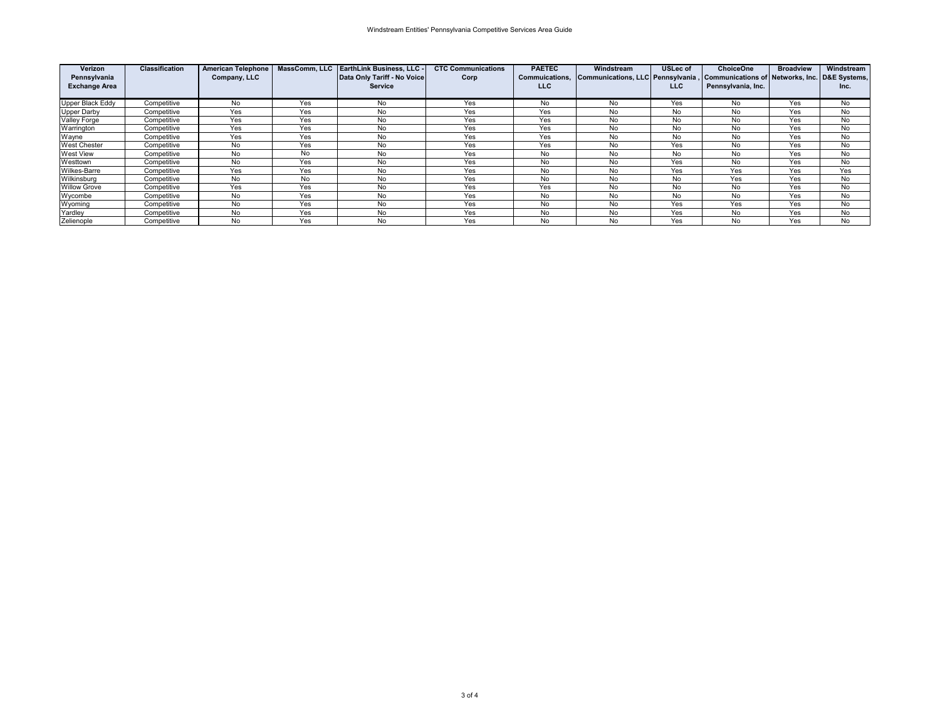| Verizon<br>Pennsylvania | <b>Classification</b> | <b>American Telephone</b><br>Company, LLC |     | MassComm. LLC EarthLink Business. LLC -<br>Data Only Tariff - No Voice | <b>CTC Communications</b><br>Corp | <b>PAETEC</b><br><b>Commuications.</b> | Windstream<br>Communications, LLC Pennsylvania, | <b>USLec of</b> | <b>ChoiceOne</b><br>, Communications of Networks, Inc. D&E Systems, | <b>Broadview</b> | Windstream |
|-------------------------|-----------------------|-------------------------------------------|-----|------------------------------------------------------------------------|-----------------------------------|----------------------------------------|-------------------------------------------------|-----------------|---------------------------------------------------------------------|------------------|------------|
| <b>Exchange Area</b>    |                       |                                           |     | <b>Service</b>                                                         |                                   | <b>LLC</b>                             |                                                 | <b>LLC</b>      | Pennsylvania, Inc.                                                  |                  | Inc.       |
| Upper Black Eddy        | Competitive           | No                                        | Yes | No                                                                     | Yes                               | No                                     | No                                              | Yes             | No                                                                  | Yes              | No         |
| Upper Darby             | Competitive           | Yes                                       | Yes | No                                                                     | Yes                               | Yes                                    | No                                              | No              | No                                                                  | Yes              | No         |
| Valley Forge            | Competitive           | Yes                                       | Yes | No                                                                     | Yes                               | Yes                                    | No                                              | No              | No                                                                  | Yes              | No         |
| Warrington              | Competitive           | Yes                                       | Yes | No                                                                     | Yes                               | Yes                                    | No                                              | No              | No                                                                  | Yes              | No         |
| Wayne                   | Competitive           | Yes                                       | Yes | No                                                                     | Yes                               | Yes                                    | No                                              | No              | No                                                                  | Yes              | No         |
| <b>West Chester</b>     | Competitive           | No                                        | Yes | No                                                                     | Yes                               | Yes                                    | No                                              | Yes             | No                                                                  | Yes              | No         |
| West View               | Competitive           | No                                        | No  | No                                                                     | Yes                               | No.                                    | No                                              | No              | No                                                                  | Yes              | No         |
| Westtown                | Competitive           | No                                        | Yes | No                                                                     | Yes                               | No                                     | No                                              | Yes             | No                                                                  | Yes              | No         |
| <b>Wilkes-Barre</b>     | Competitive           | Yes                                       | Yes | No                                                                     | Yes                               | No                                     | No                                              | Yes             | Yes                                                                 | Yes              | Yes        |
| Wilkinsburg             | Competitive           | No                                        | No  | No                                                                     | Yes                               | No                                     | No                                              | No              | Yes                                                                 | Yes              | No         |
| <b>Willow Grove</b>     | Competitive           | Yes                                       | Yes | No                                                                     | Yes                               | Yes                                    | No                                              | No              | No                                                                  | Yes              | No         |
| Wycombe                 | Competitive           | No                                        | Yes | No                                                                     | Yes                               | No                                     | No                                              | No              | No                                                                  | Yes              | No         |
| Wyoming                 | Competitive           | No                                        | Yes | No                                                                     | Yes                               | No                                     | No                                              | Yes             | Yes                                                                 | Yes              | No         |
| Yardley                 | Competitive           | No                                        | Yes | No                                                                     | Yes                               | No                                     | No                                              | Yes             | No                                                                  | Yes              | No         |
| Zelienople              | Competitive           | No                                        | Yes | No                                                                     | Yes                               | No                                     | No                                              | Yes             | No                                                                  | Yes              | No         |